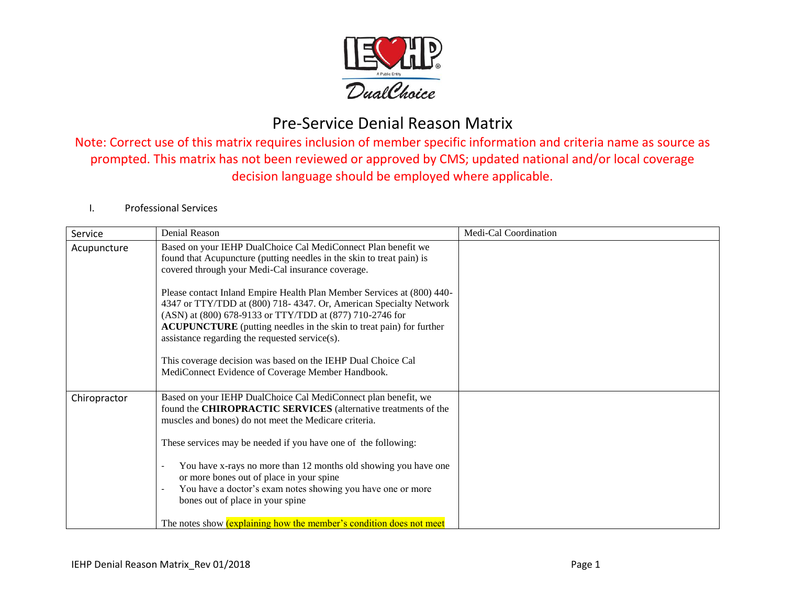

Note: Correct use of this matrix requires inclusion of member specific information and criteria name as source as prompted. This matrix has not been reviewed or approved by CMS; updated national and/or local coverage decision language should be employed where applicable.

#### I. Professional Services

| Service      | Denial Reason                                                                                                                                                                                                                                                                                                                                                                                                                                                                 | Medi-Cal Coordination |
|--------------|-------------------------------------------------------------------------------------------------------------------------------------------------------------------------------------------------------------------------------------------------------------------------------------------------------------------------------------------------------------------------------------------------------------------------------------------------------------------------------|-----------------------|
| Acupuncture  | Based on your IEHP DualChoice Cal MediConnect Plan benefit we<br>found that Acupuncture (putting needles in the skin to treat pain) is<br>covered through your Medi-Cal insurance coverage.                                                                                                                                                                                                                                                                                   |                       |
|              | Please contact Inland Empire Health Plan Member Services at (800) 440-<br>4347 or TTY/TDD at (800) 718-4347. Or, American Specialty Network<br>(ASN) at (800) 678-9133 or TTY/TDD at (877) 710-2746 for<br><b>ACUPUNCTURE</b> (putting needles in the skin to treat pain) for further<br>assistance regarding the requested service(s).                                                                                                                                       |                       |
|              | This coverage decision was based on the IEHP Dual Choice Cal<br>MediConnect Evidence of Coverage Member Handbook.                                                                                                                                                                                                                                                                                                                                                             |                       |
| Chiropractor | Based on your IEHP DualChoice Cal MediConnect plan benefit, we<br>found the CHIROPRACTIC SERVICES (alternative treatments of the<br>muscles and bones) do not meet the Medicare criteria.<br>These services may be needed if you have one of the following:<br>You have x-rays no more than 12 months old showing you have one<br>or more bones out of place in your spine<br>You have a doctor's exam notes showing you have one or more<br>bones out of place in your spine |                       |
|              | The notes show <i>(explaining how the member's condition does not meet</i>                                                                                                                                                                                                                                                                                                                                                                                                    |                       |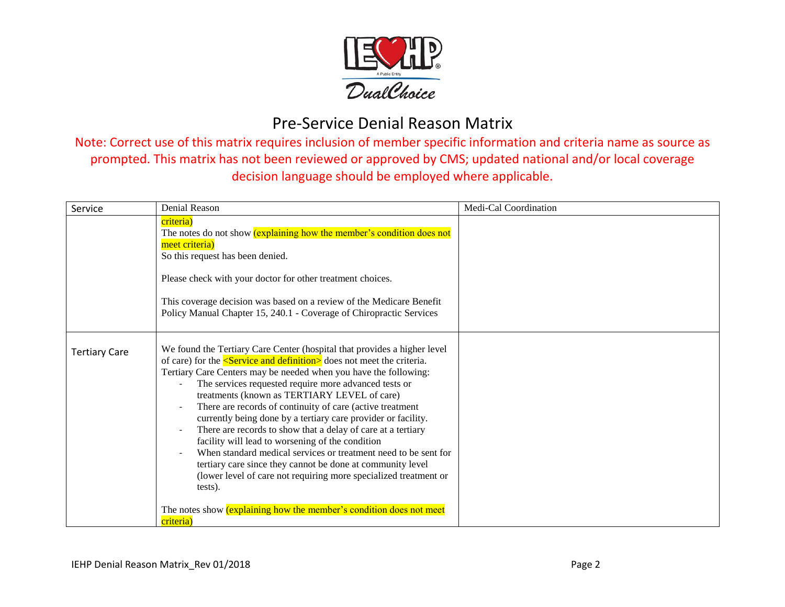

| Service              | Denial Reason                                                                                                                                                                                                                                                                                                                                                                                                                                                                                                                                                                                                                                                                                                                                                                                                                                                                                           | Medi-Cal Coordination |
|----------------------|---------------------------------------------------------------------------------------------------------------------------------------------------------------------------------------------------------------------------------------------------------------------------------------------------------------------------------------------------------------------------------------------------------------------------------------------------------------------------------------------------------------------------------------------------------------------------------------------------------------------------------------------------------------------------------------------------------------------------------------------------------------------------------------------------------------------------------------------------------------------------------------------------------|-----------------------|
|                      | criteria)<br>The notes do not show (explaining how the member's condition does not<br>meet criteria)<br>So this request has been denied.<br>Please check with your doctor for other treatment choices.<br>This coverage decision was based on a review of the Medicare Benefit<br>Policy Manual Chapter 15, 240.1 - Coverage of Chiropractic Services                                                                                                                                                                                                                                                                                                                                                                                                                                                                                                                                                   |                       |
| <b>Tertiary Care</b> | We found the Tertiary Care Center (hospital that provides a higher level<br>of care) for the $\leq$ <b>Service and definition</b> does not meet the criteria.<br>Tertiary Care Centers may be needed when you have the following:<br>The services requested require more advanced tests or<br>treatments (known as TERTIARY LEVEL of care)<br>There are records of continuity of care (active treatment<br>currently being done by a tertiary care provider or facility.<br>There are records to show that a delay of care at a tertiary<br>facility will lead to worsening of the condition<br>When standard medical services or treatment need to be sent for<br>tertiary care since they cannot be done at community level<br>(lower level of care not requiring more specialized treatment or<br>tests).<br>The notes show <i>(explaining how the member's condition does not meet</i><br>criteria) |                       |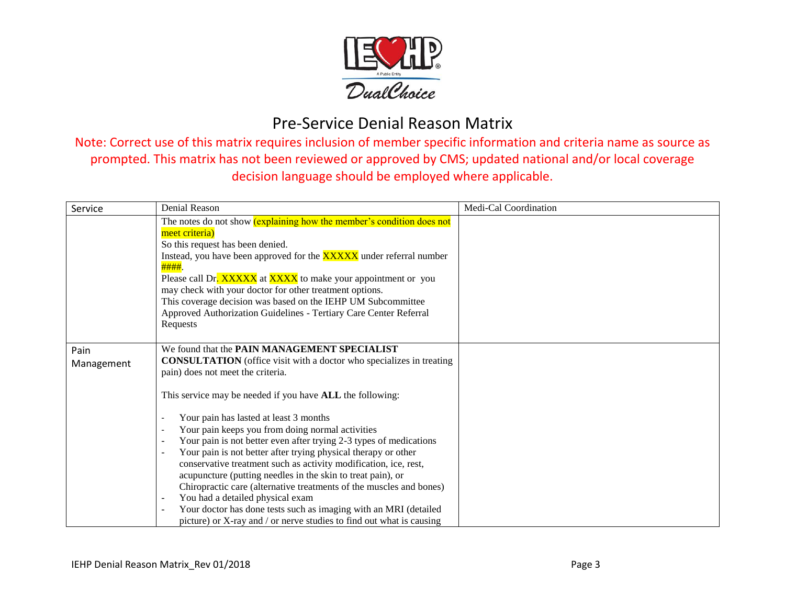

| Service            | Denial Reason                                                                                                                                                                                                                                                                                                                                                                                                                                                                                                                                                                                                                                                                                                                | Medi-Cal Coordination |
|--------------------|------------------------------------------------------------------------------------------------------------------------------------------------------------------------------------------------------------------------------------------------------------------------------------------------------------------------------------------------------------------------------------------------------------------------------------------------------------------------------------------------------------------------------------------------------------------------------------------------------------------------------------------------------------------------------------------------------------------------------|-----------------------|
|                    | The notes do not show (explaining how the member's condition does not<br>meet criteria)<br>So this request has been denied.<br>Instead, you have been approved for the <b>XXXXX</b> under referral number<br>####.<br>Please call Dr. XXXXX at XXXX to make your appointment or you<br>may check with your doctor for other treatment options.<br>This coverage decision was based on the IEHP UM Subcommittee<br>Approved Authorization Guidelines - Tertiary Care Center Referral<br>Requests                                                                                                                                                                                                                              |                       |
| Pain<br>Management | We found that the PAIN MANAGEMENT SPECIALIST<br><b>CONSULTATION</b> (office visit with a doctor who specializes in treating<br>pain) does not meet the criteria.                                                                                                                                                                                                                                                                                                                                                                                                                                                                                                                                                             |                       |
|                    | This service may be needed if you have <b>ALL</b> the following:<br>Your pain has lasted at least 3 months<br>Your pain keeps you from doing normal activities<br>Your pain is not better even after trying 2-3 types of medications<br>$\overline{\phantom{a}}$<br>Your pain is not better after trying physical therapy or other<br>conservative treatment such as activity modification, ice, rest,<br>acupuncture (putting needles in the skin to treat pain), or<br>Chiropractic care (alternative treatments of the muscles and bones)<br>You had a detailed physical exam<br>Your doctor has done tests such as imaging with an MRI (detailed<br>picture) or X-ray and / or nerve studies to find out what is causing |                       |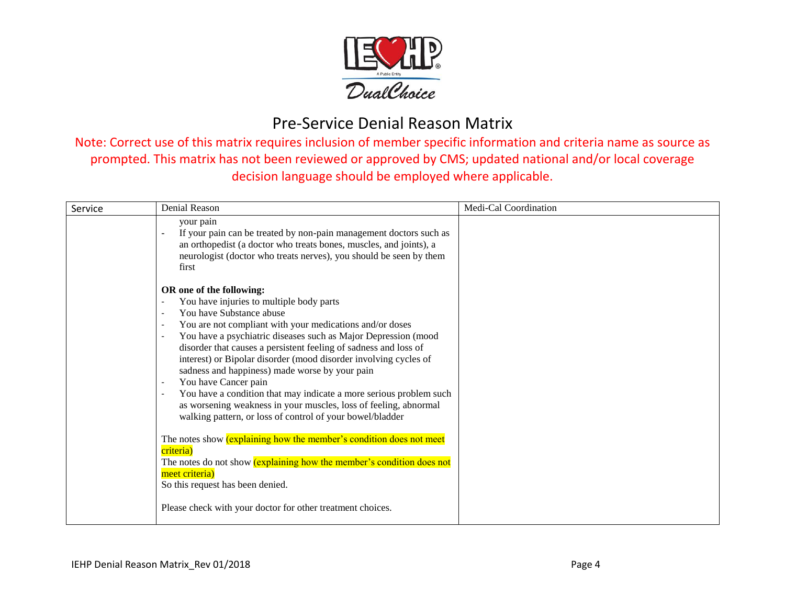

| Service | Denial Reason                                                                                                                                                                                                                                                                                                                                                                                                                                                                                                                                                                                                                                                                                                                                                                                                                                                                                                                                   | Medi-Cal Coordination |
|---------|-------------------------------------------------------------------------------------------------------------------------------------------------------------------------------------------------------------------------------------------------------------------------------------------------------------------------------------------------------------------------------------------------------------------------------------------------------------------------------------------------------------------------------------------------------------------------------------------------------------------------------------------------------------------------------------------------------------------------------------------------------------------------------------------------------------------------------------------------------------------------------------------------------------------------------------------------|-----------------------|
|         | your pain<br>If your pain can be treated by non-pain management doctors such as<br>an orthopedist (a doctor who treats bones, muscles, and joints), a<br>neurologist (doctor who treats nerves), you should be seen by them<br>first                                                                                                                                                                                                                                                                                                                                                                                                                                                                                                                                                                                                                                                                                                            |                       |
|         | OR one of the following:<br>You have injuries to multiple body parts<br>You have Substance abuse<br>You are not compliant with your medications and/or doses<br>You have a psychiatric diseases such as Major Depression (mood<br>disorder that causes a persistent feeling of sadness and loss of<br>interest) or Bipolar disorder (mood disorder involving cycles of<br>sadness and happiness) made worse by your pain<br>You have Cancer pain<br>You have a condition that may indicate a more serious problem such<br>as worsening weakness in your muscles, loss of feeling, abnormal<br>walking pattern, or loss of control of your bowel/bladder<br>The notes show <i>(explaining how the member's condition does not meet</i><br>criteria)<br>The notes do not show (explaining how the member's condition does not<br>meet criteria)<br>So this request has been denied.<br>Please check with your doctor for other treatment choices. |                       |
|         |                                                                                                                                                                                                                                                                                                                                                                                                                                                                                                                                                                                                                                                                                                                                                                                                                                                                                                                                                 |                       |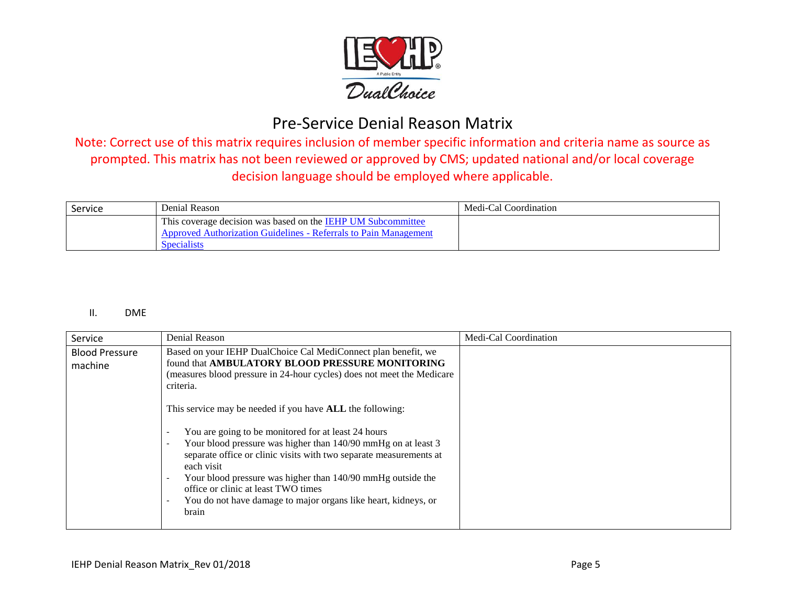

Note: Correct use of this matrix requires inclusion of member specific information and criteria name as source as prompted. This matrix has not been reviewed or approved by CMS; updated national and/or local coverage decision language should be employed where applicable.

| Service | Denial Reason                                                                                                                                   | Medi-Cal Coordination |
|---------|-------------------------------------------------------------------------------------------------------------------------------------------------|-----------------------|
|         | This coverage decision was based on the IEHP UM Subcommittee<br>Approved Authorization Guidelines - Referrals to Pain Management<br>Specialists |                       |

#### II. DME

| Service                          | Denial Reason                                                                                                                                                                                                                                                                                                                                                                                                                                                                                                                                                                                                                                                                                                                                                                      | Medi-Cal Coordination |
|----------------------------------|------------------------------------------------------------------------------------------------------------------------------------------------------------------------------------------------------------------------------------------------------------------------------------------------------------------------------------------------------------------------------------------------------------------------------------------------------------------------------------------------------------------------------------------------------------------------------------------------------------------------------------------------------------------------------------------------------------------------------------------------------------------------------------|-----------------------|
| <b>Blood Pressure</b><br>machine | Based on your IEHP DualChoice Cal MediConnect plan benefit, we<br>found that AMBULATORY BLOOD PRESSURE MONITORING<br>(measures blood pressure in 24-hour cycles) does not meet the Medicare<br>criteria.<br>This service may be needed if you have ALL the following:<br>You are going to be monitored for at least 24 hours<br>$\overline{\phantom{a}}$<br>Your blood pressure was higher than 140/90 mmHg on at least 3<br>$\overline{\phantom{a}}$<br>separate office or clinic visits with two separate measurements at<br>each visit<br>Your blood pressure was higher than 140/90 mmHg outside the<br>$\overline{\phantom{a}}$<br>office or clinic at least TWO times<br>You do not have damage to major organs like heart, kidneys, or<br>$\overline{\phantom{0}}$<br>brain |                       |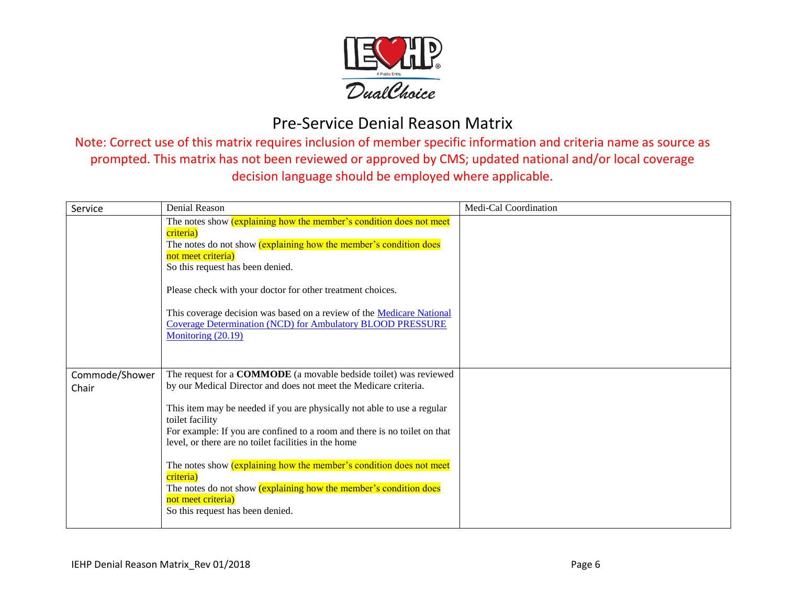

| Service                 | <b>Denial Reason</b>                                                                                                                                                                                                                                                                                                                                                                                                                                                                                                                                                                               | Medi-Cal Coordination |
|-------------------------|----------------------------------------------------------------------------------------------------------------------------------------------------------------------------------------------------------------------------------------------------------------------------------------------------------------------------------------------------------------------------------------------------------------------------------------------------------------------------------------------------------------------------------------------------------------------------------------------------|-----------------------|
|                         | The notes show <i>(explaining how the member's condition does not meet</i><br>criteria)<br>The notes do not show (explaining how the member's condition does<br>not meet criteria)<br>So this request has been denied.<br>Please check with your doctor for other treatment choices.<br>This coverage decision was based on a review of the Medicare National<br><b>Coverage Determination (NCD) for Ambulatory BLOOD PRESSURE</b><br>Monitoring (20.19)                                                                                                                                           |                       |
| Commode/Shower<br>Chair | The request for a COMMODE (a movable bedside toilet) was reviewed<br>by our Medical Director and does not meet the Medicare criteria.<br>This item may be needed if you are physically not able to use a regular<br>toilet facility<br>For example: If you are confined to a room and there is no toilet on that<br>level, or there are no toilet facilities in the home<br>The notes show <i>(explaining how the member's condition does not meet</i><br>criteria)<br>The notes do not show (explaining how the member's condition does<br>not meet criteria)<br>So this request has been denied. |                       |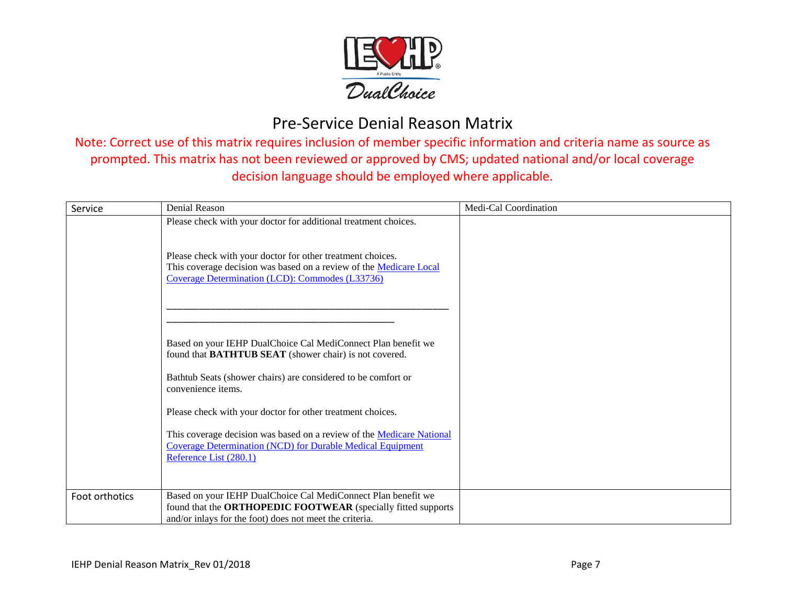

| Service        | <b>Denial Reason</b>                                                                                                                                                                            | Medi-Cal Coordination |
|----------------|-------------------------------------------------------------------------------------------------------------------------------------------------------------------------------------------------|-----------------------|
|                | Please check with your doctor for additional treatment choices.                                                                                                                                 |                       |
|                | Please check with your doctor for other treatment choices.<br>This coverage decision was based on a review of the Medicare Local<br>Coverage Determination (LCD): Commodes (L33736)             |                       |
|                | Based on your IEHP DualChoice Cal MediConnect Plan benefit we<br>found that <b>BATHTUB SEAT</b> (shower chair) is not covered.<br>Bathtub Seats (shower chairs) are considered to be comfort or |                       |
|                | convenience items.                                                                                                                                                                              |                       |
|                | Please check with your doctor for other treatment choices.                                                                                                                                      |                       |
|                | This coverage decision was based on a review of the Medicare National<br><b>Coverage Determination (NCD) for Durable Medical Equipment</b><br>Reference List (280.1)                            |                       |
|                |                                                                                                                                                                                                 |                       |
| Foot orthotics | Based on your IEHP DualChoice Cal MediConnect Plan benefit we<br>found that the ORTHOPEDIC FOOTWEAR (specially fitted supports                                                                  |                       |
|                | and/or inlays for the foot) does not meet the criteria.                                                                                                                                         |                       |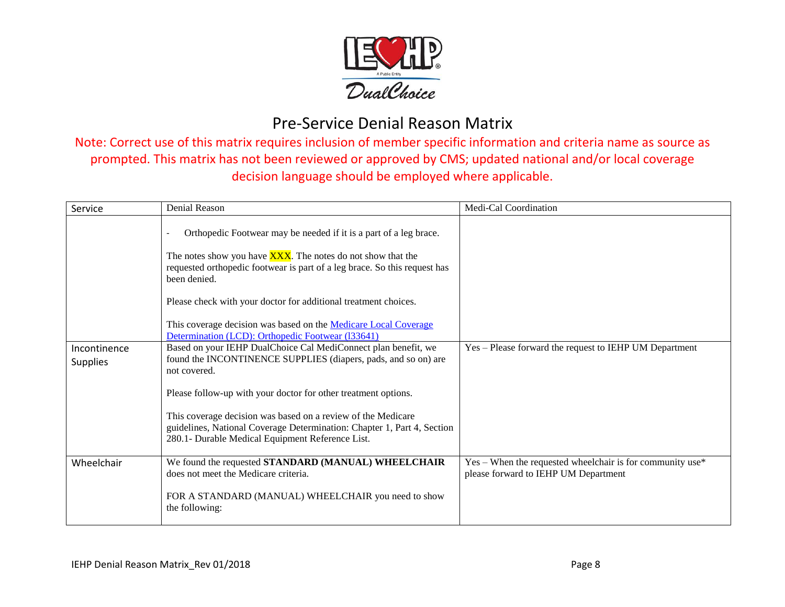

| Service                         | Denial Reason                                                                                                                                                                                                                                                                                                                                                                                                                           | Medi-Cal Coordination                                                                               |
|---------------------------------|-----------------------------------------------------------------------------------------------------------------------------------------------------------------------------------------------------------------------------------------------------------------------------------------------------------------------------------------------------------------------------------------------------------------------------------------|-----------------------------------------------------------------------------------------------------|
|                                 | Orthopedic Footwear may be needed if it is a part of a leg brace.<br>The notes show you have <b>XXX</b> . The notes do not show that the<br>requested orthopedic footwear is part of a leg brace. So this request has<br>been denied.<br>Please check with your doctor for additional treatment choices.<br>This coverage decision was based on the <b>Medicare Local Coverage</b><br>Determination (LCD): Orthopedic Footwear (133641) |                                                                                                     |
| Incontinence<br><b>Supplies</b> | Based on your IEHP DualChoice Cal MediConnect plan benefit, we<br>found the INCONTINENCE SUPPLIES (diapers, pads, and so on) are<br>not covered.                                                                                                                                                                                                                                                                                        | Yes - Please forward the request to IEHP UM Department                                              |
|                                 | Please follow-up with your doctor for other treatment options.<br>This coverage decision was based on a review of the Medicare<br>guidelines, National Coverage Determination: Chapter 1, Part 4, Section<br>280.1- Durable Medical Equipment Reference List.                                                                                                                                                                           |                                                                                                     |
| Wheelchair                      | We found the requested STANDARD (MANUAL) WHEELCHAIR<br>does not meet the Medicare criteria.<br>FOR A STANDARD (MANUAL) WHEELCHAIR you need to show<br>the following:                                                                                                                                                                                                                                                                    | $Yes - When the requested wheelchair is for community use*$<br>please forward to IEHP UM Department |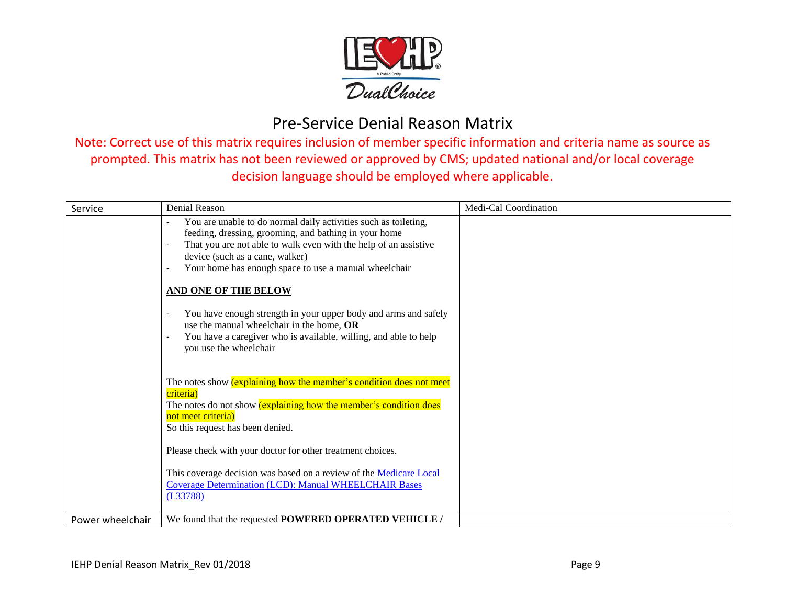

| Service          | Denial Reason                                                                                                                                                                                                                                                                                                                                                                                                                                                                                                                         | Medi-Cal Coordination |
|------------------|---------------------------------------------------------------------------------------------------------------------------------------------------------------------------------------------------------------------------------------------------------------------------------------------------------------------------------------------------------------------------------------------------------------------------------------------------------------------------------------------------------------------------------------|-----------------------|
|                  | You are unable to do normal daily activities such as toileting,<br>feeding, dressing, grooming, and bathing in your home<br>That you are not able to walk even with the help of an assistive<br>device (such as a cane, walker)<br>Your home has enough space to use a manual wheelchair<br><b>AND ONE OF THE BELOW</b><br>You have enough strength in your upper body and arms and safely<br>use the manual wheelchair in the home, OR<br>You have a caregiver who is available, willing, and able to help<br>you use the wheelchair |                       |
|                  | The notes show <i>(explaining how the member's condition does not meet</i><br>criteria)<br>The notes do not show (explaining how the member's condition does<br>not meet criteria)<br>So this request has been denied.<br>Please check with your doctor for other treatment choices.<br>This coverage decision was based on a review of the Medicare Local<br><b>Coverage Determination (LCD): Manual WHEELCHAIR Bases</b><br>(L33788)                                                                                                |                       |
| Power wheelchair | We found that the requested POWERED OPERATED VEHICLE /                                                                                                                                                                                                                                                                                                                                                                                                                                                                                |                       |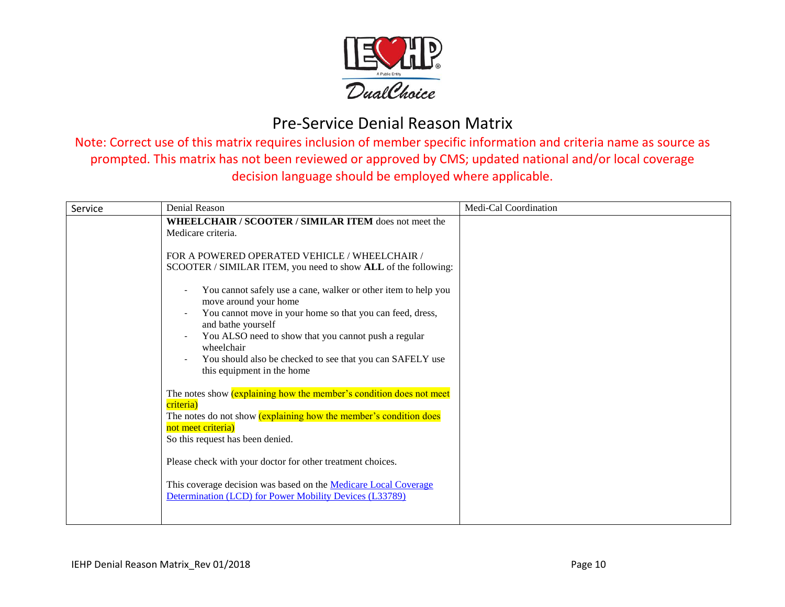

| Service | Denial Reason                                                                                                                                                                                                                                                                                    | Medi-Cal Coordination |
|---------|--------------------------------------------------------------------------------------------------------------------------------------------------------------------------------------------------------------------------------------------------------------------------------------------------|-----------------------|
|         | <b>WHEELCHAIR / SCOOTER / SIMILAR ITEM does not meet the</b><br>Medicare criteria.<br>FOR A POWERED OPERATED VEHICLE / WHEELCHAIR /<br>SCOOTER / SIMILAR ITEM, you need to show ALL of the following:<br>You cannot safely use a cane, walker or other item to help you<br>move around your home |                       |
|         | You cannot move in your home so that you can feed, dress,<br>and bathe yourself<br>You ALSO need to show that you cannot push a regular<br>$\overline{\phantom{a}}$<br>wheelchair<br>You should also be checked to see that you can SAFELY use<br>this equipment in the home                     |                       |
|         | The notes show <i>(explaining how the member's condition does not meet</i><br>criteria)<br>The notes do not show (explaining how the member's condition does<br>not meet criteria)<br>So this request has been denied.                                                                           |                       |
|         | Please check with your doctor for other treatment choices.<br>This coverage decision was based on the Medicare Local Coverage<br>Determination (LCD) for Power Mobility Devices (L33789)                                                                                                         |                       |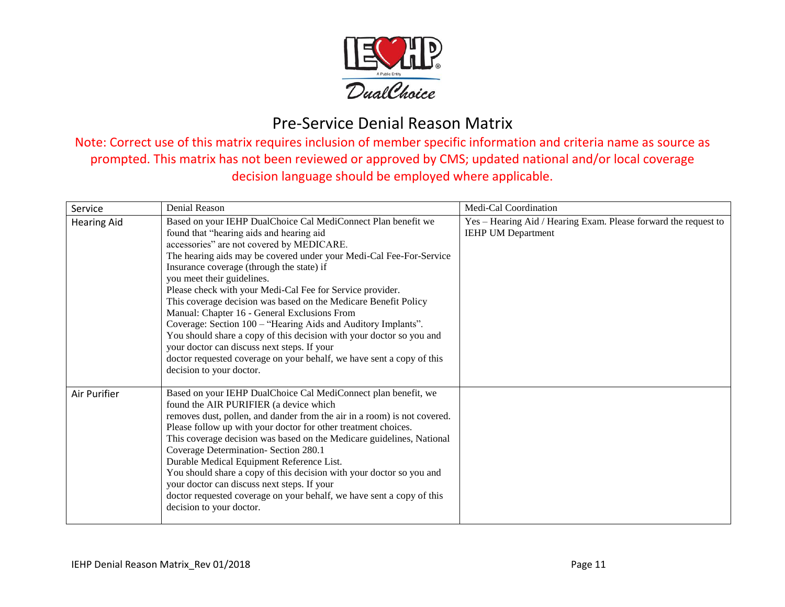

| Service            | Denial Reason                                                                                                                                                                                                                                                                                                                                                                                                                                                                                                                                                                                                                                                                                                                                                                         | Medi-Cal Coordination                                                                        |
|--------------------|---------------------------------------------------------------------------------------------------------------------------------------------------------------------------------------------------------------------------------------------------------------------------------------------------------------------------------------------------------------------------------------------------------------------------------------------------------------------------------------------------------------------------------------------------------------------------------------------------------------------------------------------------------------------------------------------------------------------------------------------------------------------------------------|----------------------------------------------------------------------------------------------|
| <b>Hearing Aid</b> | Based on your IEHP DualChoice Cal MediConnect Plan benefit we<br>found that "hearing aids and hearing aid<br>accessories" are not covered by MEDICARE.<br>The hearing aids may be covered under your Medi-Cal Fee-For-Service<br>Insurance coverage (through the state) if<br>you meet their guidelines.<br>Please check with your Medi-Cal Fee for Service provider.<br>This coverage decision was based on the Medicare Benefit Policy<br>Manual: Chapter 16 - General Exclusions From<br>Coverage: Section 100 - "Hearing Aids and Auditory Implants".<br>You should share a copy of this decision with your doctor so you and<br>your doctor can discuss next steps. If your<br>doctor requested coverage on your behalf, we have sent a copy of this<br>decision to your doctor. | Yes - Hearing Aid / Hearing Exam. Please forward the request to<br><b>IEHP UM Department</b> |
| Air Purifier       | Based on your IEHP DualChoice Cal MediConnect plan benefit, we<br>found the AIR PURIFIER (a device which<br>removes dust, pollen, and dander from the air in a room) is not covered.<br>Please follow up with your doctor for other treatment choices.<br>This coverage decision was based on the Medicare guidelines, National<br>Coverage Determination- Section 280.1<br>Durable Medical Equipment Reference List.<br>You should share a copy of this decision with your doctor so you and<br>your doctor can discuss next steps. If your<br>doctor requested coverage on your behalf, we have sent a copy of this<br>decision to your doctor.                                                                                                                                     |                                                                                              |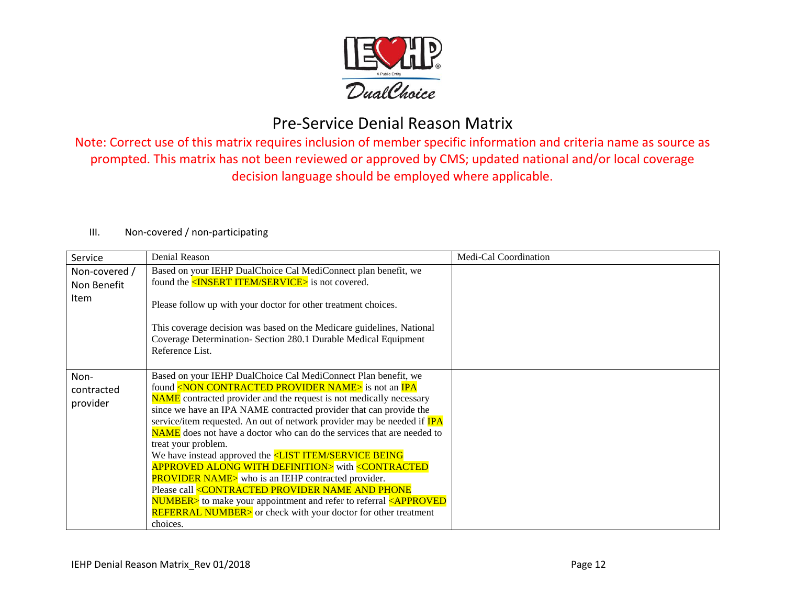

Note: Correct use of this matrix requires inclusion of member specific information and criteria name as source as prompted. This matrix has not been reviewed or approved by CMS; updated national and/or local coverage decision language should be employed where applicable.

| Service                                     | Denial Reason                                                                                                                                                                                                                                                                                                                                                                                                                                                                                                                                                                                                                                                                                                                                                                                                                                                                                                                                                               | Medi-Cal Coordination |
|---------------------------------------------|-----------------------------------------------------------------------------------------------------------------------------------------------------------------------------------------------------------------------------------------------------------------------------------------------------------------------------------------------------------------------------------------------------------------------------------------------------------------------------------------------------------------------------------------------------------------------------------------------------------------------------------------------------------------------------------------------------------------------------------------------------------------------------------------------------------------------------------------------------------------------------------------------------------------------------------------------------------------------------|-----------------------|
| Non-covered /<br>Non Benefit<br><b>Item</b> | Based on your IEHP DualChoice Cal MediConnect plan benefit, we<br>found the <insert item="" service=""> is not covered.<br/>Please follow up with your doctor for other treatment choices.<br/>This coverage decision was based on the Medicare guidelines, National<br/>Coverage Determination- Section 280.1 Durable Medical Equipment<br/>Reference List.</insert>                                                                                                                                                                                                                                                                                                                                                                                                                                                                                                                                                                                                       |                       |
| Non-<br>contracted<br>provider              | Based on your IEHP DualChoice Cal MediConnect Plan benefit, we<br>found <non contracted="" name="" provider=""> is not an IPA<br/><b>NAME</b> contracted provider and the request is not medically necessary<br/>since we have an IPA NAME contracted provider that can provide the<br/>service/item requested. An out of network provider may be needed if <b>IPA</b><br/><b>NAME</b> does not have a doctor who can do the services that are needed to<br/>treat your problem.<br/>We have instead approved the <list being<br="" item="" service=""><b>APPROVED ALONG WITH DEFINITION&gt;</b> with &lt;<b>CONTRACTED</b><br/><b>PROVIDER NAME&gt;</b> who is an IEHP contracted provider.<br/>Please call <contracted and="" name="" phone<br="" provider=""><b>NUMBER</b>&gt; to make your appointment and refer to referral <approved<br><b>REFERRAL NUMBER&gt;</b> or check with your doctor for other treatment<br/>choices.</approved<br></contracted></list></non> |                       |

#### III. Non-covered / non-participating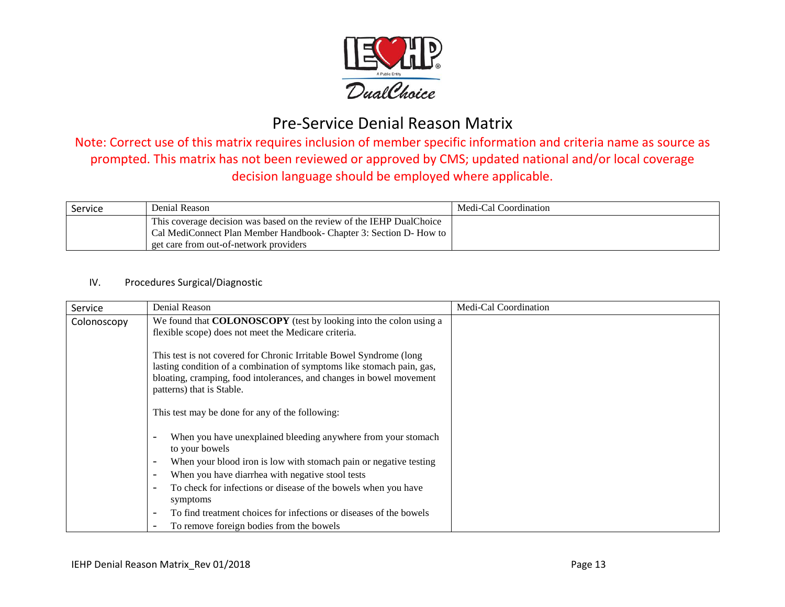

Note: Correct use of this matrix requires inclusion of member specific information and criteria name as source as prompted. This matrix has not been reviewed or approved by CMS; updated national and/or local coverage decision language should be employed where applicable.

| Service | Denial Reason                                                                                                                                                                         | Medi-Cal Coordination |
|---------|---------------------------------------------------------------------------------------------------------------------------------------------------------------------------------------|-----------------------|
|         | This coverage decision was based on the review of the IEHP DualChoice<br>Cal MediConnect Plan Member Handbook- Chapter 3: Section D- How to<br>get care from out-of-network providers |                       |

#### IV. Procedures Surgical/Diagnostic

| Service     | Denial Reason                                                                                 | Medi-Cal Coordination |
|-------------|-----------------------------------------------------------------------------------------------|-----------------------|
| Colonoscopy | We found that <b>COLONOSCOPY</b> (test by looking into the colon using a                      |                       |
|             | flexible scope) does not meet the Medicare criteria.                                          |                       |
|             | This test is not covered for Chronic Irritable Bowel Syndrome (long                           |                       |
|             | lasting condition of a combination of symptoms like stomach pain, gas,                        |                       |
|             | bloating, cramping, food intolerances, and changes in bowel movement                          |                       |
|             | patterns) that is Stable.                                                                     |                       |
|             | This test may be done for any of the following:                                               |                       |
|             | When you have unexplained bleeding anywhere from your stomach<br>to your bowels               |                       |
|             | When your blood iron is low with stomach pain or negative testing<br>$\overline{\phantom{a}}$ |                       |
|             | When you have diarrhea with negative stool tests<br>$\overline{\phantom{a}}$                  |                       |
|             | To check for infections or disease of the bowels when you have                                |                       |
|             | symptoms                                                                                      |                       |
|             | To find treatment choices for infections or diseases of the bowels                            |                       |
|             | To remove foreign bodies from the bowels                                                      |                       |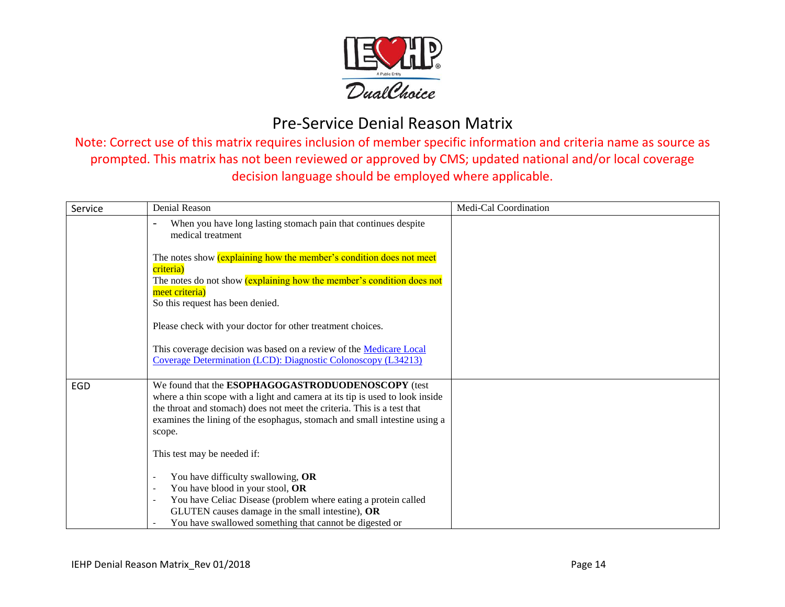

| Service | <b>Denial Reason</b>                                                                                                                                                                                                                                                                                 | Medi-Cal Coordination |
|---------|------------------------------------------------------------------------------------------------------------------------------------------------------------------------------------------------------------------------------------------------------------------------------------------------------|-----------------------|
|         | When you have long lasting stomach pain that continues despite<br>medical treatment                                                                                                                                                                                                                  |                       |
|         | The notes show <i>(explaining how the member's condition does not meet</i><br>criteria)<br>The notes do not show (explaining how the member's condition does not                                                                                                                                     |                       |
|         | meet criteria)<br>So this request has been denied.                                                                                                                                                                                                                                                   |                       |
|         | Please check with your doctor for other treatment choices.                                                                                                                                                                                                                                           |                       |
|         | This coverage decision was based on a review of the Medicare Local<br>Coverage Determination (LCD): Diagnostic Colonoscopy (L34213)                                                                                                                                                                  |                       |
| EGD     | We found that the ESOPHAGOGASTRODUODENOSCOPY (test<br>where a thin scope with a light and camera at its tip is used to look inside<br>the throat and stomach) does not meet the criteria. This is a test that<br>examines the lining of the esophagus, stomach and small intestine using a<br>scope. |                       |
|         | This test may be needed if:                                                                                                                                                                                                                                                                          |                       |
|         | You have difficulty swallowing, OR<br>You have blood in your stool, OR                                                                                                                                                                                                                               |                       |
|         | You have Celiac Disease (problem where eating a protein called<br>GLUTEN causes damage in the small intestine), OR<br>You have swallowed something that cannot be digested or                                                                                                                        |                       |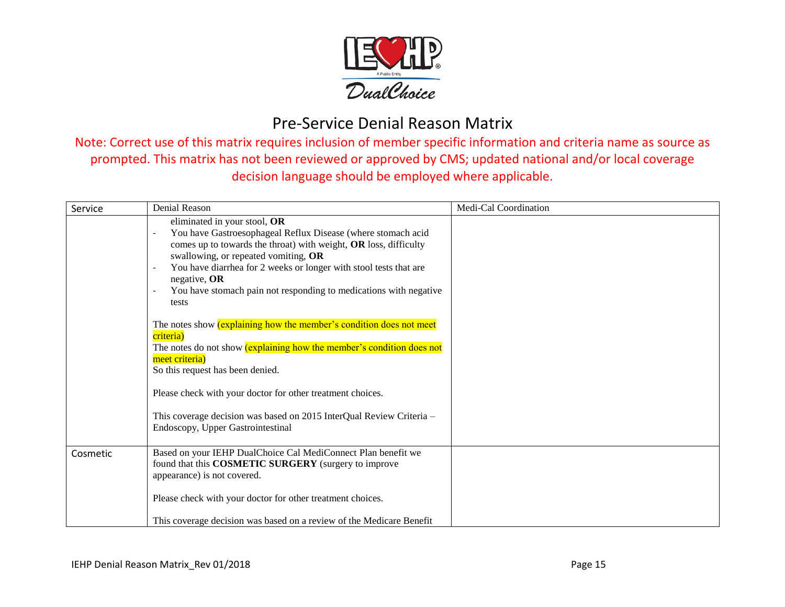

| Service  | Denial Reason                                                                                                                                                                                                                                                                                                                                                                                                                         | Medi-Cal Coordination |
|----------|---------------------------------------------------------------------------------------------------------------------------------------------------------------------------------------------------------------------------------------------------------------------------------------------------------------------------------------------------------------------------------------------------------------------------------------|-----------------------|
|          | eliminated in your stool, OR<br>You have Gastroesophageal Reflux Disease (where stomach acid<br>$\overline{\phantom{a}}$<br>comes up to towards the throat) with weight, OR loss, difficulty<br>swallowing, or repeated vomiting, OR<br>You have diarrhea for 2 weeks or longer with stool tests that are<br>$\overline{\phantom{a}}$<br>negative, $OR$<br>You have stomach pain not responding to medications with negative<br>tests |                       |
|          | The notes show <i>(explaining how the member's condition does not meet</i><br>criteria)<br>The notes do not show (explaining how the member's condition does not<br>meet criteria)<br>So this request has been denied.                                                                                                                                                                                                                |                       |
|          | Please check with your doctor for other treatment choices.                                                                                                                                                                                                                                                                                                                                                                            |                       |
|          | This coverage decision was based on 2015 InterQual Review Criteria -<br>Endoscopy, Upper Gastrointestinal                                                                                                                                                                                                                                                                                                                             |                       |
| Cosmetic | Based on your IEHP DualChoice Cal MediConnect Plan benefit we<br>found that this COSMETIC SURGERY (surgery to improve<br>appearance) is not covered.                                                                                                                                                                                                                                                                                  |                       |
|          | Please check with your doctor for other treatment choices.                                                                                                                                                                                                                                                                                                                                                                            |                       |
|          | This coverage decision was based on a review of the Medicare Benefit                                                                                                                                                                                                                                                                                                                                                                  |                       |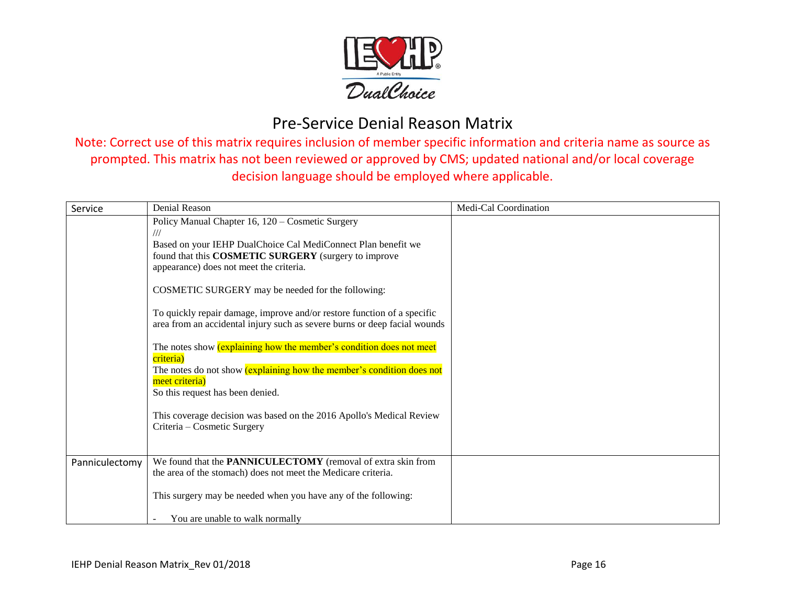

| Service        | Denial Reason                                                                                                                                                                                                                                                                                                                                                                                                                                                                                                                                                                                                                                                                                                                                                                    | Medi-Cal Coordination |
|----------------|----------------------------------------------------------------------------------------------------------------------------------------------------------------------------------------------------------------------------------------------------------------------------------------------------------------------------------------------------------------------------------------------------------------------------------------------------------------------------------------------------------------------------------------------------------------------------------------------------------------------------------------------------------------------------------------------------------------------------------------------------------------------------------|-----------------------|
|                | Policy Manual Chapter 16, 120 – Cosmetic Surgery<br>///<br>Based on your IEHP DualChoice Cal MediConnect Plan benefit we<br>found that this COSMETIC SURGERY (surgery to improve<br>appearance) does not meet the criteria.<br>COSMETIC SURGERY may be needed for the following:<br>To quickly repair damage, improve and/or restore function of a specific<br>area from an accidental injury such as severe burns or deep facial wounds<br>The notes show <i>(explaining how the member's condition does not meet</i><br>criteria)<br>The notes do not show <i>(explaining how the member's condition does not</i><br>meet criteria)<br>So this request has been denied.<br>This coverage decision was based on the 2016 Apollo's Medical Review<br>Criteria – Cosmetic Surgery |                       |
| Panniculectomy | We found that the PANNICULECTOMY (removal of extra skin from<br>the area of the stomach) does not meet the Medicare criteria.<br>This surgery may be needed when you have any of the following:                                                                                                                                                                                                                                                                                                                                                                                                                                                                                                                                                                                  |                       |
|                | You are unable to walk normally                                                                                                                                                                                                                                                                                                                                                                                                                                                                                                                                                                                                                                                                                                                                                  |                       |